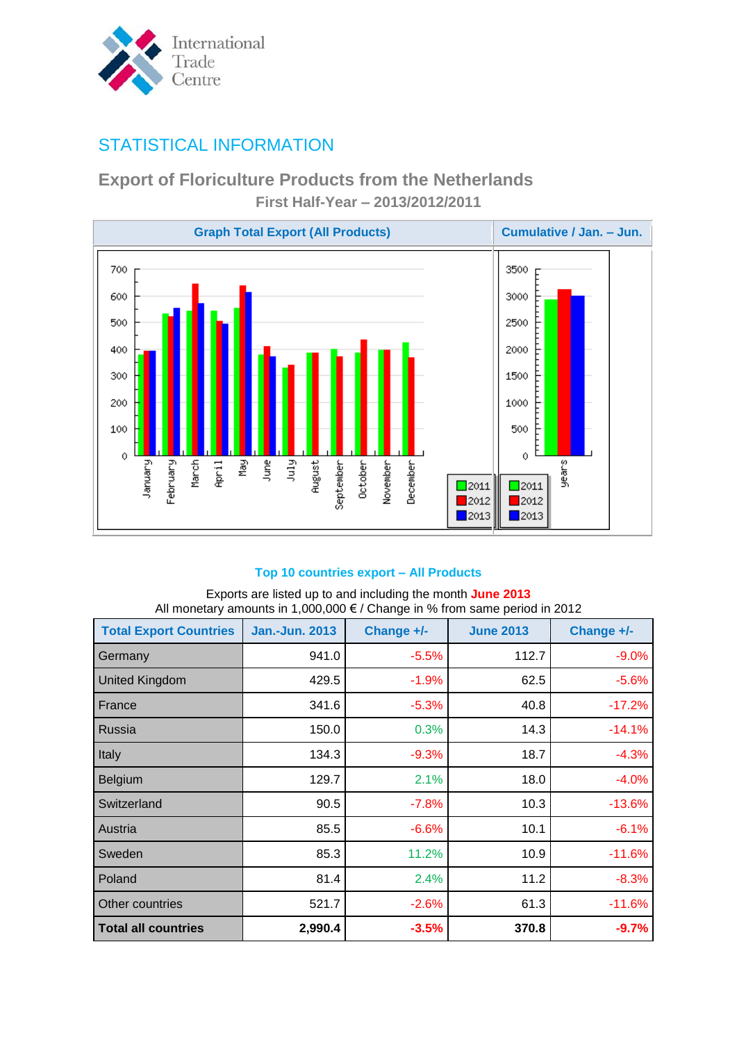

# STATISTICAL INFORMATION

## **Export of Floriculture Products from the Netherlands First Half-Year – 2013/2012/2011**



### **Top 10 countries export – All Products**

#### Exports are listed up to and including the month **June 2013** All monetary amounts in 1,000,000 € / Change in % from same period in 2012

| <b>Total Export Countries</b> | <b>Jan.-Jun. 2013</b> | Change +/- | <b>June 2013</b> | Change +/- |
|-------------------------------|-----------------------|------------|------------------|------------|
| Germany                       | 941.0                 | $-5.5%$    | 112.7            | $-9.0%$    |
| <b>United Kingdom</b>         | 429.5                 | $-1.9%$    | 62.5             | $-5.6%$    |
| France                        | 341.6                 | $-5.3%$    | 40.8             | $-17.2%$   |
| Russia                        | 150.0                 | 0.3%       | 14.3             | $-14.1%$   |
| Italy                         | 134.3                 | $-9.3%$    | 18.7             | $-4.3%$    |
| <b>Belgium</b>                | 129.7                 | 2.1%       | 18.0             | $-4.0%$    |
| Switzerland                   | 90.5                  | $-7.8%$    | 10.3             | $-13.6%$   |
| Austria                       | 85.5                  | $-6.6%$    | 10.1             | $-6.1%$    |
| Sweden                        | 85.3                  | 11.2%      | 10.9             | $-11.6%$   |
| Poland                        | 81.4                  | 2.4%       | 11.2             | $-8.3%$    |
| Other countries               | 521.7                 | $-2.6%$    | 61.3             | $-11.6%$   |
| <b>Total all countries</b>    | 2,990.4               | $-3.5%$    | 370.8            | $-9.7%$    |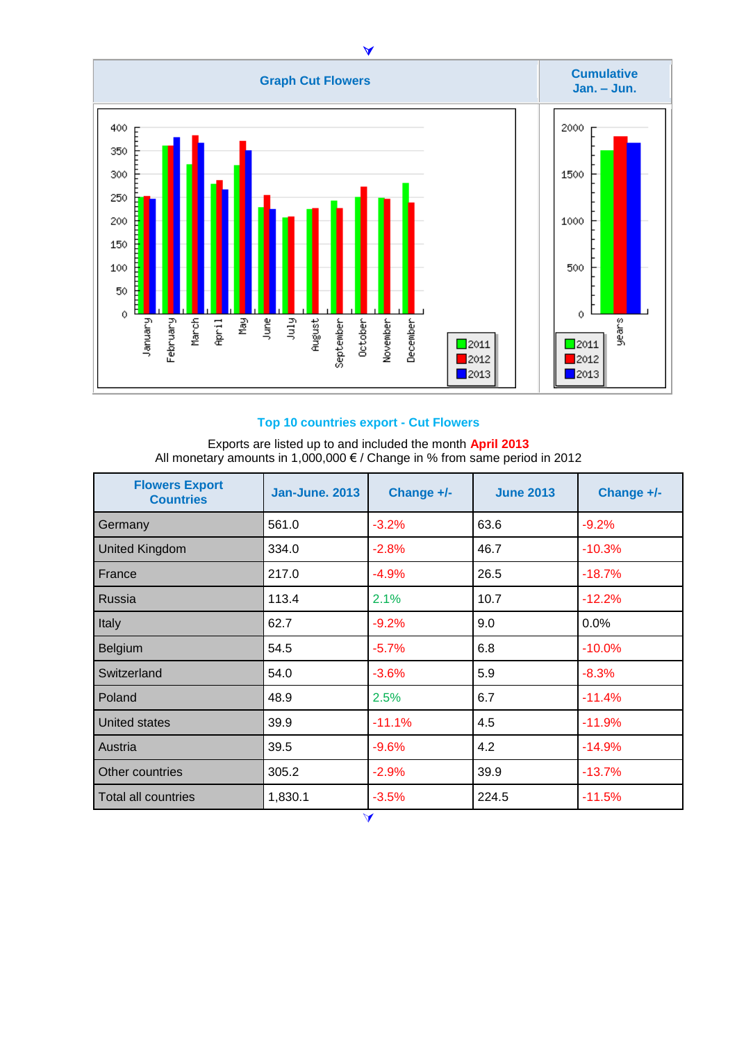

#### **Top 10 countries export - Cut Flowers**

Exports are listed up to and included the month **April 2013** All monetary amounts in 1,000,000 € / Change in % from same period in 2012

| <b>Flowers Export</b><br><b>Countries</b> | <b>Jan-June, 2013</b> | Change +/-           | <b>June 2013</b> | Change +/- |
|-------------------------------------------|-----------------------|----------------------|------------------|------------|
| Germany                                   | 561.0                 | $-3.2%$              | 63.6             | $-9.2%$    |
| <b>United Kingdom</b>                     | 334.0                 | $-2.8%$              | 46.7             | $-10.3%$   |
| France                                    | 217.0                 | $-4.9%$              | 26.5             | $-18.7%$   |
| Russia                                    | 113.4                 | 2.1%                 | 10.7             | $-12.2%$   |
| Italy                                     | 62.7                  | $-9.2%$              | 9.0              | 0.0%       |
| Belgium                                   | 54.5                  | $-5.7%$              | 6.8              | $-10.0%$   |
| Switzerland                               | 54.0                  | $-3.6%$              | 5.9              | $-8.3%$    |
| Poland                                    | 48.9                  | 2.5%                 | 6.7              | $-11.4%$   |
| United states                             | 39.9                  | $-11.1%$             | 4.5              | $-11.9%$   |
| Austria                                   | 39.5                  | $-9.6%$              | 4.2              | $-14.9%$   |
| Other countries                           | 305.2                 | $-2.9%$              | 39.9             | $-13.7%$   |
| <b>Total all countries</b>                | 1,830.1               | $-3.5%$              | 224.5            | $-11.5%$   |
|                                           |                       | $\blacktriangleleft$ |                  |            |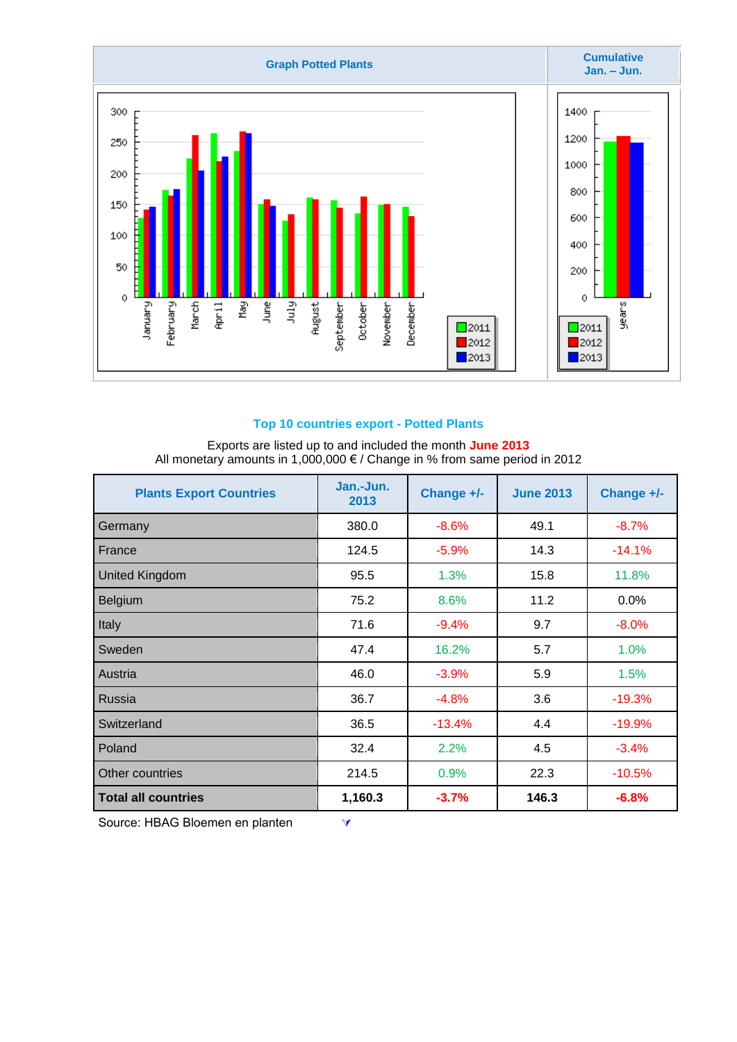

#### **Top 10 countries export - Potted Plants**

#### Exports are listed up to and included the month **June 2013** All monetary amounts in 1,000,000 € / Change in % from same period in 2012

| <b>Plants Export Countries</b> | Jan.-Jun.<br>2013 | Change +/- | <b>June 2013</b> | Change +/- |
|--------------------------------|-------------------|------------|------------------|------------|
| Germany                        | 380.0             | $-8.6%$    | 49.1             | $-8.7%$    |
| France                         | 124.5             | $-5.9%$    | 14.3             | $-14.1%$   |
| <b>United Kingdom</b>          | 95.5              | 1.3%       | 15.8             | 11.8%      |
| Belgium                        | 75.2              | 8.6%       | 11.2             | 0.0%       |
| Italy                          | 71.6              | $-9.4%$    | 9.7              | $-8.0%$    |
| Sweden                         | 47.4              | 16.2%      | 5.7              | 1.0%       |
| Austria                        | 46.0              | $-3.9%$    | 5.9              | 1.5%       |
| <b>Russia</b>                  | 36.7              | $-4.8%$    | 3.6              | $-19.3%$   |
| Switzerland                    | 36.5              | $-13.4%$   | 4.4              | $-19.9%$   |
| Poland                         | 32.4              | 2.2%       | 4.5              | $-3.4%$    |
| Other countries                | 214.5             | 0.9%       | 22.3             | $-10.5%$   |
| <b>Total all countries</b>     | 1,160.3           | $-3.7%$    | 146.3            | $-6.8%$    |

Source: HBAG Bloemen en planten